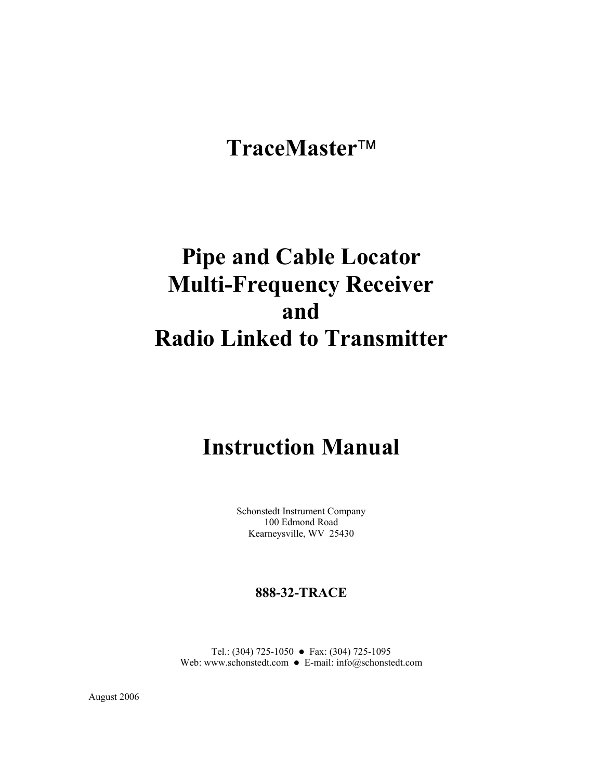# **TraceMaster**

# **Pipe and Cable Locator Multi-Frequency Receiver and Radio Linked to Transmitter**

# **Instruction Manual**

Schonstedt Instrument Company 100 Edmond Road Kearneysville, WV 25430

# **888-32-TRACE**

Tel.: (304) 725-1050 • Fax: (304) 725-1095 Web: www.schonstedt.com  $\bullet$  E-mail: info@schonstedt.com

August 2006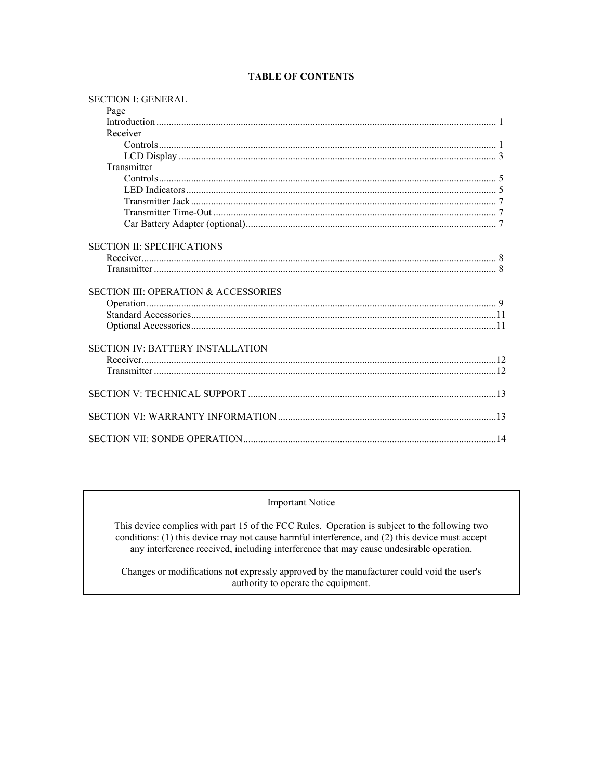| <b>SECTION I: GENERAL</b>                       |  |
|-------------------------------------------------|--|
| Page                                            |  |
|                                                 |  |
| Receiver                                        |  |
|                                                 |  |
|                                                 |  |
| Transmitter                                     |  |
|                                                 |  |
|                                                 |  |
|                                                 |  |
|                                                 |  |
|                                                 |  |
|                                                 |  |
| <b>SECTION II: SPECIFICATIONS</b>               |  |
|                                                 |  |
|                                                 |  |
| <b>SECTION III: OPERATION &amp; ACCESSORIES</b> |  |
|                                                 |  |
|                                                 |  |
|                                                 |  |
|                                                 |  |
| <b>SECTION IV: BATTERY INSTALLATION</b>         |  |
|                                                 |  |
|                                                 |  |
|                                                 |  |
|                                                 |  |
|                                                 |  |

# **TABLE OF CONTENTS**

# **Important Notice**

This device complies with part 15 of the FCC Rules. Operation is subject to the following two conditions: (1) this device may not cause harmful interference, and (2) this device must accept any interference received, including interference that may cause undesirable operation.

Changes or modifications not expressly approved by the manufacturer could void the user's authority to operate the equipment.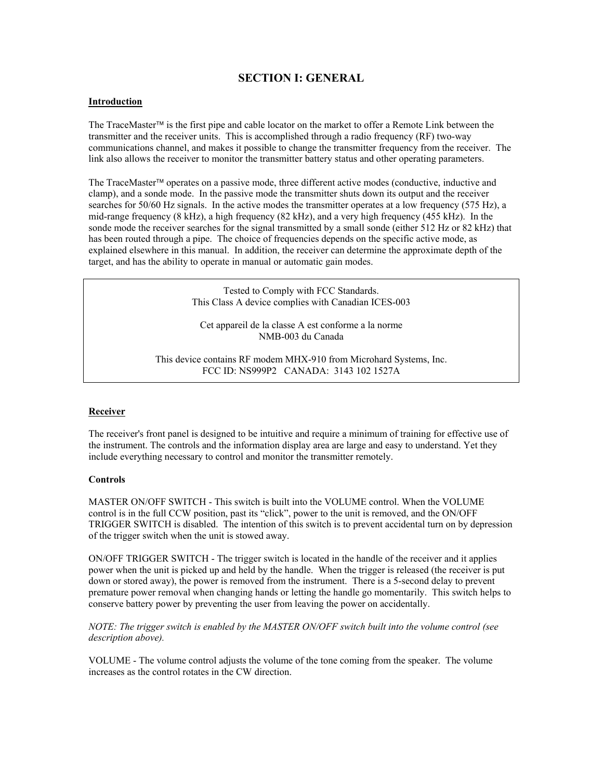# **SECTION I: GENERAL**

## **Introduction**

The TraceMaster<sup>TM</sup> is the first pipe and cable locator on the market to offer a Remote Link between the transmitter and the receiver units. This is accomplished through a radio frequency (RF) two-way communications channel, and makes it possible to change the transmitter frequency from the receiver. The link also allows the receiver to monitor the transmitter battery status and other operating parameters.

The TraceMaster<sup> $\text{TM}$ </sup> operates on a passive mode, three different active modes (conductive, inductive and clamp), and a sonde mode. In the passive mode the transmitter shuts down its output and the receiver searches for 50/60 Hz signals. In the active modes the transmitter operates at a low frequency (575 Hz), a mid-range frequency (8 kHz), a high frequency (82 kHz), and a very high frequency (455 kHz). In the sonde mode the receiver searches for the signal transmitted by a small sonde (either 512 Hz or 82 kHz) that has been routed through a pipe. The choice of frequencies depends on the specific active mode, as explained elsewhere in this manual. In addition, the receiver can determine the approximate depth of the target, and has the ability to operate in manual or automatic gain modes.

> Tested to Comply with FCC Standards. This Class A device complies with Canadian ICES-003

Cet appareil de la classe A est conforme a la norme NMB-003 du Canada

This device contains RF modem MHX-910 from Microhard Systems, Inc. FCC ID: NS999P2 CANADA: 3143 102 1527A

#### **Receiver**

The receiver's front panel is designed to be intuitive and require a minimum of training for effective use of the instrument. The controls and the information display area are large and easy to understand. Yet they include everything necessary to control and monitor the transmitter remotely.

## **Controls**

MASTER ON/OFF SWITCH - This switch is built into the VOLUME control. When the VOLUME control is in the full CCW position, past its "click", power to the unit is removed, and the ON/OFF TRIGGER SWITCH is disabled. The intention of this switch is to prevent accidental turn on by depression of the trigger switch when the unit is stowed away.

ON/OFF TRIGGER SWITCH - The trigger switch is located in the handle of the receiver and it applies power when the unit is picked up and held by the handle. When the trigger is released (the receiver is put down or stored away), the power is removed from the instrument. There is a 5-second delay to prevent premature power removal when changing hands or letting the handle go momentarily. This switch helps to conserve battery power by preventing the user from leaving the power on accidentally.

*NOTE: The trigger switch is enabled by the MASTER ON/OFF switch built into the volume control (see description above).*

VOLUME - The volume control adjusts the volume of the tone coming from the speaker. The volume increases as the control rotates in the CW direction.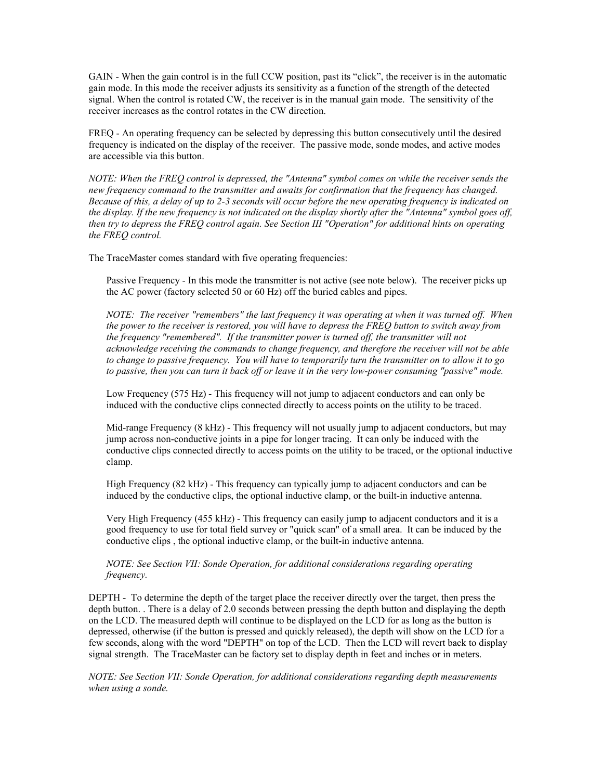GAIN - When the gain control is in the full CCW position, past its "click", the receiver is in the automatic gain mode. In this mode the receiver adjusts its sensitivity as a function of the strength of the detected signal. When the control is rotated CW, the receiver is in the manual gain mode. The sensitivity of the receiver increases as the control rotates in the CW direction.

FREQ - An operating frequency can be selected by depressing this button consecutively until the desired frequency is indicated on the display of the receiver. The passive mode, sonde modes, and active modes are accessible via this button.

*NOTE: When the FREQ control is depressed, the "Antenna" symbol comes on while the receiver sends the new frequency command to the transmitter and awaits for confirmation that the frequency has changed. Because of this, a delay of up to 2-3 seconds will occur before the new operating frequency is indicated on the display. If the new frequency is not indicated on the display shortly after the "Antenna" symbol goes off, then try to depress the FREQ control again. See Section III "Operation" for additional hints on operating the FREQ control.*

The TraceMaster comes standard with five operating frequencies:

Passive Frequency - In this mode the transmitter is not active (see note below). The receiver picks up the AC power (factory selected 50 or 60 Hz) off the buried cables and pipes.

*NOTE: The receiver "remembers" the last frequency it was operating at when it was turned off. When the power to the receiver is restored, you will have to depress the FREQ button to switch away from the frequency "remembered". If the transmitter power is turned off, the transmitter will not acknowledge receiving the commands to change frequency, and therefore the receiver will not be able to change to passive frequency. You will have to temporarily turn the transmitter on to allow it to go to passive, then you can turn it back off or leave it in the very low-power consuming "passive" mode.*

Low Frequency (575 Hz) - This frequency will not jump to adjacent conductors and can only be induced with the conductive clips connected directly to access points on the utility to be traced.

Mid-range Frequency (8 kHz) - This frequency will not usually jump to adjacent conductors, but may jump across non-conductive joints in a pipe for longer tracing. It can only be induced with the conductive clips connected directly to access points on the utility to be traced, or the optional inductive clamp.

High Frequency (82 kHz) - This frequency can typically jump to adjacent conductors and can be induced by the conductive clips, the optional inductive clamp, or the built-in inductive antenna.

Very High Frequency (455 kHz) - This frequency can easily jump to adjacent conductors and it is a good frequency to use for total field survey or "quick scan" of a small area. It can be induced by the conductive clips , the optional inductive clamp, or the built-in inductive antenna.

*NOTE: See Section VII: Sonde Operation, for additional considerations regarding operating frequency.*

DEPTH - To determine the depth of the target place the receiver directly over the target, then press the depth button. . There is a delay of 2.0 seconds between pressing the depth button and displaying the depth on the LCD. The measured depth will continue to be displayed on the LCD for as long as the button is depressed, otherwise (if the button is pressed and quickly released), the depth will show on the LCD for a few seconds, along with the word "DEPTH" on top of the LCD. Then the LCD will revert back to display signal strength. The TraceMaster can be factory set to display depth in feet and inches or in meters.

*NOTE: See Section VII: Sonde Operation, for additional considerations regarding depth measurements when using a sonde.*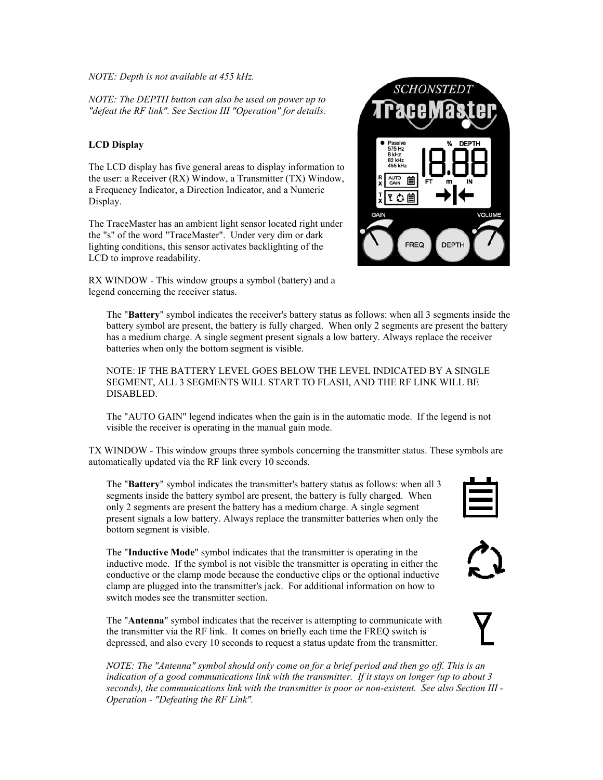*NOTE: Depth is not available at 455 kHz.*

*NOTE: The DEPTH button can also be used on power up to "defeat the RF link". See Section III "Operation" for details.*

# **LCD Display**

The LCD display has five general areas to display information to the user: a Receiver (RX) Window, a Transmitter (TX) Window, a Frequency Indicator, a Direction Indicator, and a Numeric Display.

The TraceMaster has an ambient light sensor located right under the "s" of the word "TraceMaster". Under very dim or dark lighting conditions, this sensor activates backlighting of the LCD to improve readability.

RX WINDOW - This window groups a symbol (battery) and a legend concerning the receiver status.



The "**Battery**" symbol indicates the receiver's battery status as follows: when all 3 segments inside the battery symbol are present, the battery is fully charged. When only 2 segments are present the battery has a medium charge. A single segment present signals a low battery. Always replace the receiver batteries when only the bottom segment is visible.

NOTE: IF THE BATTERY LEVEL GOES BELOW THE LEVEL INDICATED BY A SINGLE SEGMENT, ALL 3 SEGMENTS WILL START TO FLASH, AND THE RF LINK WILL BE DISABLED.

The "AUTO GAIN" legend indicates when the gain is in the automatic mode. If the legend is not visible the receiver is operating in the manual gain mode.

TX WINDOW - This window groups three symbols concerning the transmitter status. These symbols are automatically updated via the RF link every 10 seconds.

The "**Battery**" symbol indicates the transmitter's battery status as follows: when all 3 segments inside the battery symbol are present, the battery is fully charged. When only 2 segments are present the battery has a medium charge. A single segment present signals a low battery. Always replace the transmitter batteries when only the bottom segment is visible.

The "**Inductive Mode**" symbol indicates that the transmitter is operating in the inductive mode. If the symbol is not visible the transmitter is operating in either the conductive or the clamp mode because the conductive clips or the optional inductive clamp are plugged into the transmitter's jack. For additional information on how to switch modes see the transmitter section.

The "**Antenna**" symbol indicates that the receiver is attempting to communicate with the transmitter via the RF link. It comes on briefly each time the FREQ switch is depressed, and also every 10 seconds to request a status update from the transmitter.

*NOTE: The "Antenna" symbol should only come on for a brief period and then go off. This is an indication of a good communications link with the transmitter. If it stays on longer (up to about 3 seconds), the communications link with the transmitter is poor or non-existent. See also Section III - Operation - "Defeating the RF Link".*





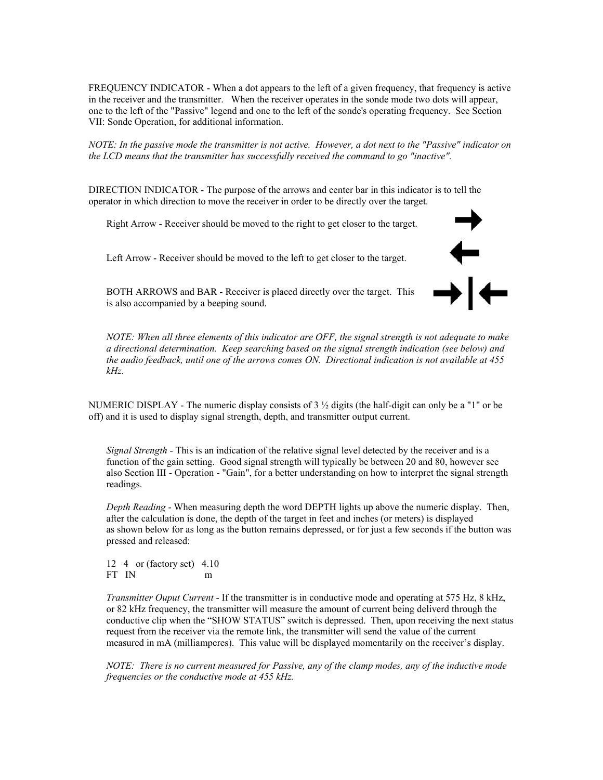FREQUENCY INDICATOR - When a dot appears to the left of a given frequency, that frequency is active in the receiver and the transmitter. When the receiver operates in the sonde mode two dots will appear, one to the left of the "Passive" legend and one to the left of the sonde's operating frequency. See Section VII: Sonde Operation, for additional information.

*NOTE: In the passive mode the transmitter is not active. However, a dot next to the "Passive" indicator on the LCD means that the transmitter has successfully received the command to go "inactive".*

DIRECTION INDICATOR - The purpose of the arrows and center bar in this indicator is to tell the operator in which direction to move the receiver in order to be directly over the target.

Right Arrow - Receiver should be moved to the right to get closer to the target.

Left Arrow - Receiver should be moved to the left to get closer to the target.



BOTH ARROWS and BAR - Receiver is placed directly over the target. This is also accompanied by a beeping sound.

*NOTE: When all three elements of this indicator are OFF, the signal strength is not adequate to make a directional determination. Keep searching based on the signal strength indication (see below) and the audio feedback, until one of the arrows comes ON. Directional indication is not available at 455 kHz.*

NUMERIC DISPLAY - The numeric display consists of  $3\frac{1}{2}$  digits (the half-digit can only be a "1" or be off) and it is used to display signal strength, depth, and transmitter output current.

*Signal Strength* - This is an indication of the relative signal level detected by the receiver and is a function of the gain setting. Good signal strength will typically be between 20 and 80, however see also Section III - Operation - "Gain", for a better understanding on how to interpret the signal strength readings.

*Depth Reading* - When measuring depth the word DEPTH lights up above the numeric display. Then, after the calculation is done, the depth of the target in feet and inches (or meters) is displayed as shown below for as long as the button remains depressed, or for just a few seconds if the button was pressed and released:

12 4 or (factory set) 4.10 FT IN m

*Transmitter Ouput Current* - If the transmitter is in conductive mode and operating at 575 Hz, 8 kHz, or 82 kHz frequency, the transmitter will measure the amount of current being deliverd through the conductive clip when the "SHOW STATUS" switch is depressed. Then, upon receiving the next status request from the receiver via the remote link, the transmitter will send the value of the current measured in mA (milliamperes). This value will be displayed momentarily on the receiver's display.

*NOTE: There is no current measured for Passive, any of the clamp modes, any of the inductive mode frequencies or the conductive mode at 455 kHz.*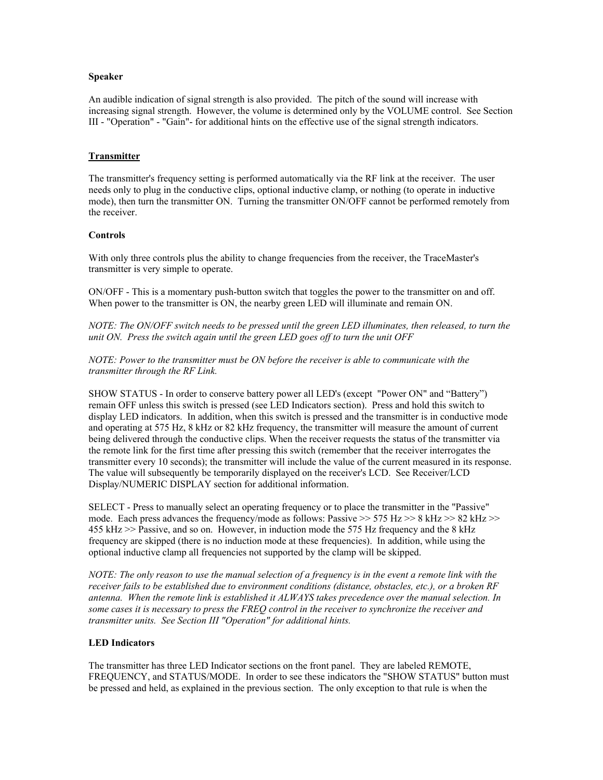#### **Speaker**

An audible indication of signal strength is also provided. The pitch of the sound will increase with increasing signal strength. However, the volume is determined only by the VOLUME control. See Section III - "Operation" - "Gain"- for additional hints on the effective use of the signal strength indicators.

# **Transmitter**

The transmitter's frequency setting is performed automatically via the RF link at the receiver. The user needs only to plug in the conductive clips, optional inductive clamp, or nothing (to operate in inductive mode), then turn the transmitter ON. Turning the transmitter ON/OFF cannot be performed remotely from the receiver.

## **Controls**

With only three controls plus the ability to change frequencies from the receiver, the TraceMaster's transmitter is very simple to operate.

ON/OFF - This is a momentary push-button switch that toggles the power to the transmitter on and off. When power to the transmitter is ON, the nearby green LED will illuminate and remain ON.

*NOTE: The ON/OFF switch needs to be pressed until the green LED illuminates, then released, to turn the unit ON. Press the switch again until the green LED goes off to turn the unit OFF*

*NOTE: Power to the transmitter must be ON before the receiver is able to communicate with the transmitter through the RF Link.*

SHOW STATUS - In order to conserve battery power all LED's (except "Power ON" and "Battery") remain OFF unless this switch is pressed (see LED Indicators section). Press and hold this switch to display LED indicators. In addition, when this switch is pressed and the transmitter is in conductive mode and operating at 575 Hz, 8 kHz or 82 kHz frequency, the transmitter will measure the amount of current being delivered through the conductive clips. When the receiver requests the status of the transmitter via the remote link for the first time after pressing this switch (remember that the receiver interrogates the transmitter every 10 seconds); the transmitter will include the value of the current measured in its response. The value will subsequently be temporarily displayed on the receiver's LCD. See Receiver/LCD Display/NUMERIC DISPLAY section for additional information.

SELECT - Press to manually select an operating frequency or to place the transmitter in the "Passive" mode. Each press advances the frequency/mode as follows: Passive >> 575 Hz >> 8 kHz >> 82 kHz >> 455 kHz >> Passive, and so on. However, in induction mode the 575 Hz frequency and the 8 kHz frequency are skipped (there is no induction mode at these frequencies). In addition, while using the optional inductive clamp all frequencies not supported by the clamp will be skipped.

*NOTE: The only reason to use the manual selection of a frequency is in the event a remote link with the receiver fails to be established due to environment conditions (distance, obstacles, etc.), or a broken RF antenna. When the remote link is established it ALWAYS takes precedence over the manual selection. In some cases it is necessary to press the FREQ control in the receiver to synchronize the receiver and transmitter units. See Section III "Operation" for additional hints.*

#### **LED Indicators**

The transmitter has three LED Indicator sections on the front panel. They are labeled REMOTE, FREQUENCY, and STATUS/MODE. In order to see these indicators the "SHOW STATUS" button must be pressed and held, as explained in the previous section. The only exception to that rule is when the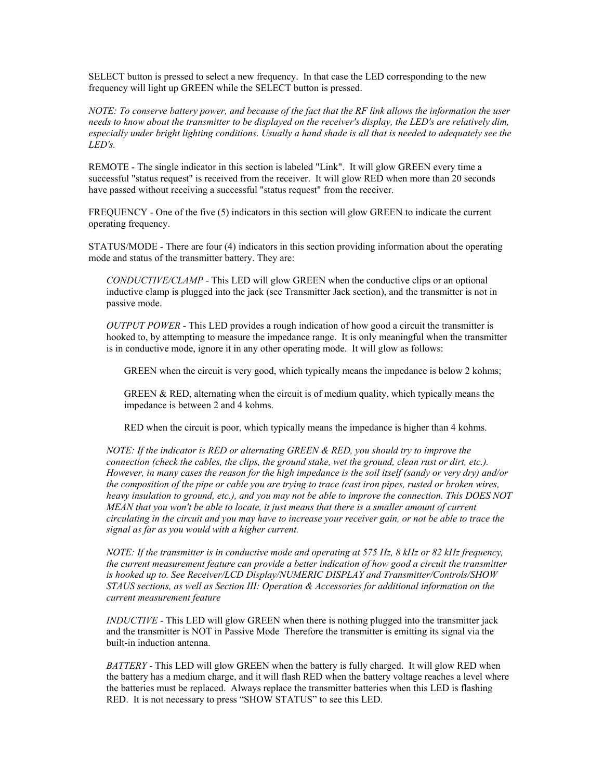SELECT button is pressed to select a new frequency. In that case the LED corresponding to the new frequency will light up GREEN while the SELECT button is pressed.

*NOTE: To conserve battery power, and because of the fact that the RF link allows the information the user needs to know about the transmitter to be displayed on the receiver's display, the LED's are relatively dim, especially under bright lighting conditions. Usually a hand shade is all that is needed to adequately see the LED's.*

REMOTE - The single indicator in this section is labeled "Link". It will glow GREEN every time a successful "status request" is received from the receiver. It will glow RED when more than 20 seconds have passed without receiving a successful "status request" from the receiver.

FREQUENCY - One of the five (5) indicators in this section will glow GREEN to indicate the current operating frequency.

STATUS/MODE - There are four (4) indicators in this section providing information about the operating mode and status of the transmitter battery. They are:

*CONDUCTIVE/CLAMP* - This LED will glow GREEN when the conductive clips or an optional inductive clamp is plugged into the jack (see Transmitter Jack section), and the transmitter is not in passive mode.

*OUTPUT POWER* - This LED provides a rough indication of how good a circuit the transmitter is hooked to, by attempting to measure the impedance range. It is only meaningful when the transmitter is in conductive mode, ignore it in any other operating mode. It will glow as follows:

GREEN when the circuit is very good, which typically means the impedance is below 2 kohms;

GREEN & RED, alternating when the circuit is of medium quality, which typically means the impedance is between 2 and 4 kohms.

RED when the circuit is poor, which typically means the impedance is higher than 4 kohms.

*NOTE: If the indicator is RED or alternating GREEN & RED, you should try to improve the connection (check the cables, the clips, the ground stake, wet the ground, clean rust or dirt, etc.). However, in many cases the reason for the high impedance is the soil itself (sandy or very dry) and/or the composition of the pipe or cable you are trying to trace (cast iron pipes, rusted or broken wires, heavy insulation to ground, etc.), and you may not be able to improve the connection. This DOES NOT MEAN that you won't be able to locate, it just means that there is a smaller amount of current circulating in the circuit and you may have to increase your receiver gain, or not be able to trace the signal as far as you would with a higher current.*

*NOTE: If the transmitter is in conductive mode and operating at 575 Hz, 8 kHz or 82 kHz frequency, the current measurement feature can provide a better indication of how good a circuit the transmitter is hooked up to. See Receiver/LCD Display/NUMERIC DISPLAY and Transmitter/Controls/SHOW STAUS sections, as well as Section III: Operation & Accessories for additional information on the current measurement feature*

*INDUCTIVE* - This LED will glow GREEN when there is nothing plugged into the transmitter jack and the transmitter is NOT in Passive Mode Therefore the transmitter is emitting its signal via the built-in induction antenna.

*BATTERY* - This LED will glow GREEN when the battery is fully charged. It will glow RED when the battery has a medium charge, and it will flash RED when the battery voltage reaches a level where the batteries must be replaced. Always replace the transmitter batteries when this LED is flashing RED. It is not necessary to press "SHOW STATUS" to see this LED.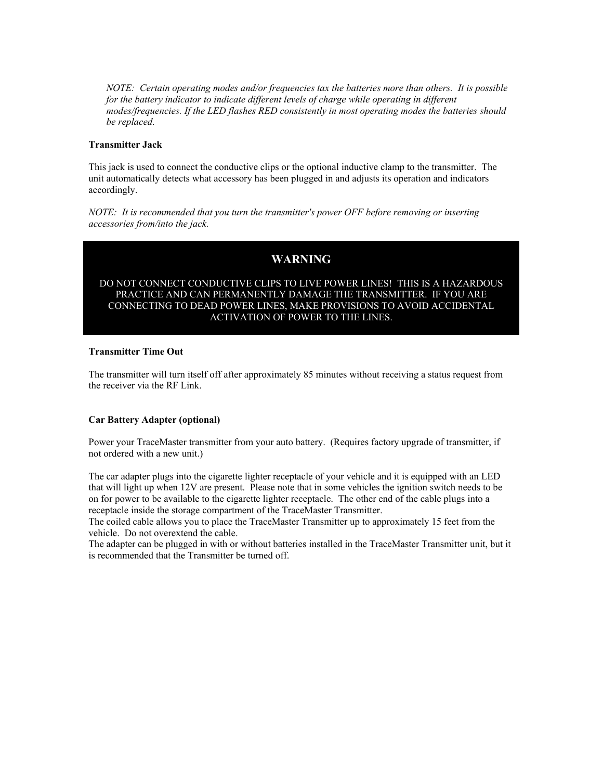*NOTE: Certain operating modes and/or frequencies tax the batteries more than others. It is possible for the battery indicator to indicate different levels of charge while operating in different modes/frequencies. If the LED flashes RED consistently in most operating modes the batteries should be replaced.*

# **Transmitter Jack**

This jack is used to connect the conductive clips or the optional inductive clamp to the transmitter. The unit automatically detects what accessory has been plugged in and adjusts its operation and indicators accordingly.

*NOTE: It is recommended that you turn the transmitter's power OFF before removing or inserting accessories from/into the jack.*

# **WARNING**

## DO NOT CONNECT CONDUCTIVE CLIPS TO LIVE POWER LINES! THIS IS A HAZARDOUS PRACTICE AND CAN PERMANENTLY DAMAGE THE TRANSMITTER. IF YOU ARE CONNECTING TO DEAD POWER LINES, MAKE PROVISIONS TO AVOID ACCIDENTAL ACTIVATION OF POWER TO THE LINES.

## **Transmitter Time Out**

The transmitter will turn itself off after approximately 85 minutes without receiving a status request from the receiver via the RF Link.

# **Car Battery Adapter (optional)**

Power your TraceMaster transmitter from your auto battery. (Requires factory upgrade of transmitter, if not ordered with a new unit.)

The car adapter plugs into the cigarette lighter receptacle of your vehicle and it is equipped with an LED that will light up when 12V are present. Please note that in some vehicles the ignition switch needs to be on for power to be available to the cigarette lighter receptacle. The other end of the cable plugs into a receptacle inside the storage compartment of the TraceMaster Transmitter.

The coiled cable allows you to place the TraceMaster Transmitter up to approximately 15 feet from the vehicle. Do not overextend the cable.

The adapter can be plugged in with or without batteries installed in the TraceMaster Transmitter unit, but it is recommended that the Transmitter be turned off.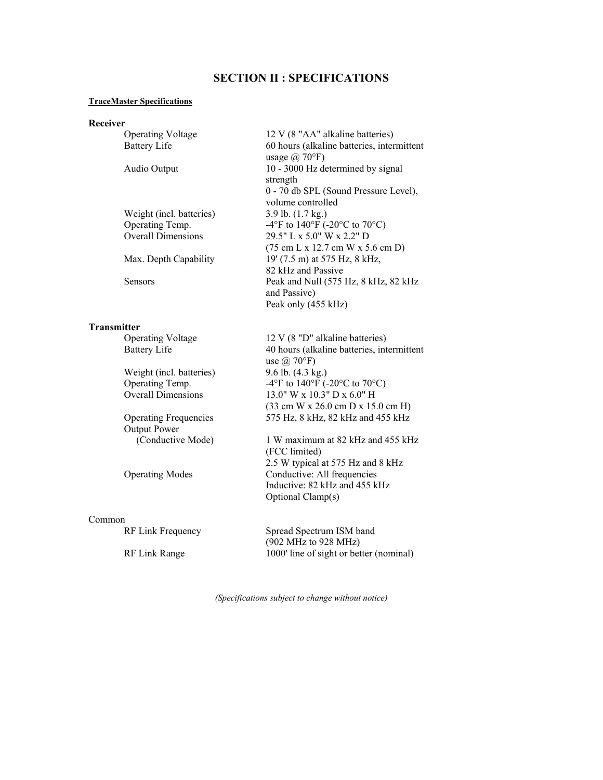# **SECTION II : SPECIFICATIONS**

#### **TraceMaster Specifications**

#### **Receiver**

|                    | <b>Operating Voltage</b>     | 12 V (8 "AA" alkaline batteries)                             |
|--------------------|------------------------------|--------------------------------------------------------------|
|                    | <b>Battery Life</b>          | 60 hours (alkaline batteries, intermittent                   |
|                    |                              | usage $\omega$ 70°F)                                         |
|                    | Audio Output                 | 10 - 3000 Hz determined by signal                            |
|                    |                              | strength                                                     |
|                    |                              | 0 - 70 db SPL (Sound Pressure Level),                        |
|                    |                              | volume controlled                                            |
|                    | Weight (incl. batteries)     | $3.9$ lb. $(1.7 \text{ kg.})$                                |
|                    | Operating Temp.              | -4°F to 140°F (-20°C to 70°C)                                |
|                    | <b>Overall Dimensions</b>    | 29.5" L x 5.0" W x 2.2" D                                    |
|                    |                              | $(75 \text{ cm L x } 12.7 \text{ cm W x } 5.6 \text{ cm D})$ |
|                    | Max. Depth Capability        | 19' (7.5 m) at 575 Hz, 8 kHz,                                |
|                    |                              | 82 kHz and Passive                                           |
|                    | <b>Sensors</b>               | Peak and Null (575 Hz, 8 kHz, 82 kHz                         |
|                    |                              | and Passive)                                                 |
|                    |                              | Peak only (455 kHz)                                          |
| <b>Transmitter</b> |                              |                                                              |
|                    | <b>Operating Voltage</b>     | 12 V (8 "D" alkaline batteries)                              |
|                    | <b>Battery Life</b>          | 40 hours (alkaline batteries, intermittent                   |
|                    |                              | use $\omega$ 70°F)                                           |
|                    | Weight (incl. batteries)     | 9.6 lb. (4.3 kg.)                                            |
|                    | Operating Temp.              | -4°F to 140°F (-20°C to 70°C)                                |
|                    | <b>Overall Dimensions</b>    | 13.0" W x 10.3" D x 6.0" H                                   |
|                    |                              | (33 cm W x 26.0 cm D x 15.0 cm H)                            |
|                    | <b>Operating Frequencies</b> | 575 Hz, 8 kHz, 82 kHz and 455 kHz                            |
|                    | <b>Output Power</b>          |                                                              |
|                    | (Conductive Mode)            | 1 W maximum at 82 kHz and 455 kHz                            |
|                    |                              | (FCC limited)                                                |
|                    |                              |                                                              |

Operating Modes Conductive: All frequencies

#### Common

RF Link Range 1000' line of sight or better (nominal)

Spread Spectrum ISM band (902 MHz to 928 MHz)

2.5 W typical at 575 Hz and 8 kHz

Inductive: 82 kHz and 455 kHz

*(Specifications subject to change without notice)*

Optional Clamp(s)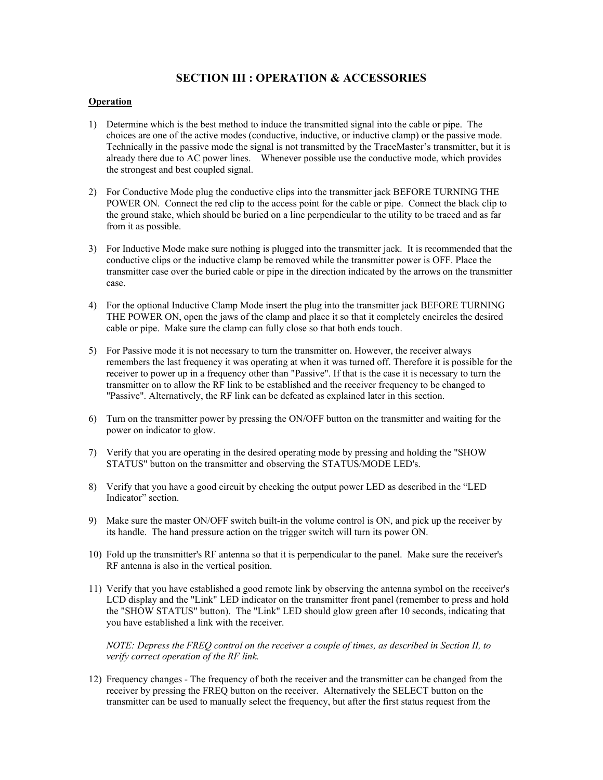# **SECTION III : OPERATION & ACCESSORIES**

#### **Operation**

- 1) Determine which is the best method to induce the transmitted signal into the cable or pipe. The choices are one of the active modes (conductive, inductive, or inductive clamp) or the passive mode. Technically in the passive mode the signal is not transmitted by the TraceMaster's transmitter, but it is already there due to AC power lines. Whenever possible use the conductive mode, which provides the strongest and best coupled signal.
- 2) For Conductive Mode plug the conductive clips into the transmitter jack BEFORE TURNING THE POWER ON. Connect the red clip to the access point for the cable or pipe. Connect the black clip to the ground stake, which should be buried on a line perpendicular to the utility to be traced and as far from it as possible.
- 3) For Inductive Mode make sure nothing is plugged into the transmitter jack. It is recommended that the conductive clips or the inductive clamp be removed while the transmitter power is OFF. Place the transmitter case over the buried cable or pipe in the direction indicated by the arrows on the transmitter case.
- 4) For the optional Inductive Clamp Mode insert the plug into the transmitter jack BEFORE TURNING THE POWER ON, open the jaws of the clamp and place it so that it completely encircles the desired cable or pipe. Make sure the clamp can fully close so that both ends touch.
- 5) For Passive mode it is not necessary to turn the transmitter on. However, the receiver always remembers the last frequency it was operating at when it was turned off. Therefore it is possible for the receiver to power up in a frequency other than "Passive". If that is the case it is necessary to turn the transmitter on to allow the RF link to be established and the receiver frequency to be changed to "Passive". Alternatively, the RF link can be defeated as explained later in this section.
- 6) Turn on the transmitter power by pressing the ON/OFF button on the transmitter and waiting for the power on indicator to glow.
- 7) Verify that you are operating in the desired operating mode by pressing and holding the "SHOW STATUS" button on the transmitter and observing the STATUS/MODE LED's.
- 8) Verify that you have a good circuit by checking the output power LED as described in the "LED Indicator" section.
- 9) Make sure the master ON/OFF switch built-in the volume control is ON, and pick up the receiver by its handle. The hand pressure action on the trigger switch will turn its power ON.
- 10) Fold up the transmitter's RF antenna so that it is perpendicular to the panel. Make sure the receiver's RF antenna is also in the vertical position.
- 11) Verify that you have established a good remote link by observing the antenna symbol on the receiver's LCD display and the "Link" LED indicator on the transmitter front panel (remember to press and hold the "SHOW STATUS" button). The "Link" LED should glow green after 10 seconds, indicating that you have established a link with the receiver.

*NOTE: Depress the FREQ control on the receiver a couple of times, as described in Section II, to verify correct operation of the RF link.*

12) Frequency changes - The frequency of both the receiver and the transmitter can be changed from the receiver by pressing the FREQ button on the receiver. Alternatively the SELECT button on the transmitter can be used to manually select the frequency, but after the first status request from the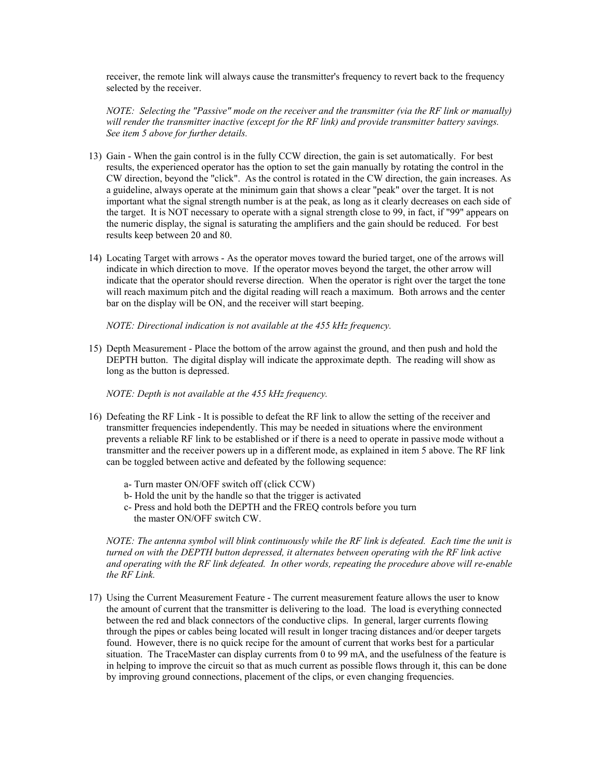receiver, the remote link will always cause the transmitter's frequency to revert back to the frequency selected by the receiver.

*NOTE: Selecting the "Passive" mode on the receiver and the transmitter (via the RF link or manually) will render the transmitter inactive (except for the RF link) and provide transmitter battery savings. See item 5 above for further details.*

- 13) Gain When the gain control is in the fully CCW direction, the gain is set automatically. For best results, the experienced operator has the option to set the gain manually by rotating the control in the CW direction, beyond the "click". As the control is rotated in the CW direction, the gain increases. As a guideline, always operate at the minimum gain that shows a clear "peak" over the target. It is not important what the signal strength number is at the peak, as long as it clearly decreases on each side of the target. It is NOT necessary to operate with a signal strength close to 99, in fact, if "99" appears on the numeric display, the signal is saturating the amplifiers and the gain should be reduced. For best results keep between 20 and 80.
- 14) Locating Target with arrows As the operator moves toward the buried target, one of the arrows will indicate in which direction to move. If the operator moves beyond the target, the other arrow will indicate that the operator should reverse direction. When the operator is right over the target the tone will reach maximum pitch and the digital reading will reach a maximum. Both arrows and the center bar on the display will be ON, and the receiver will start beeping.

*NOTE: Directional indication is not available at the 455 kHz frequency.*

15) Depth Measurement - Place the bottom of the arrow against the ground, and then push and hold the DEPTH button. The digital display will indicate the approximate depth. The reading will show as long as the button is depressed.

*NOTE: Depth is not available at the 455 kHz frequency.*

- 16) Defeating the RF Link It is possible to defeat the RF link to allow the setting of the receiver and transmitter frequencies independently. This may be needed in situations where the environment prevents a reliable RF link to be established or if there is a need to operate in passive mode without a transmitter and the receiver powers up in a different mode, as explained in item 5 above. The RF link can be toggled between active and defeated by the following sequence:
	- a- Turn master ON/OFF switch off (click CCW)
	- b- Hold the unit by the handle so that the trigger is activated
	- c- Press and hold both the DEPTH and the FREQ controls before you turn the master ON/OFF switch CW.

*NOTE: The antenna symbol will blink continuously while the RF link is defeated. Each time the unit is turned on with the DEPTH button depressed, it alternates between operating with the RF link active and operating with the RF link defeated. In other words, repeating the procedure above will re-enable the RF Link.*

17) Using the Current Measurement Feature - The current measurement feature allows the user to know the amount of current that the transmitter is delivering to the load. The load is everything connected between the red and black connectors of the conductive clips. In general, larger currents flowing through the pipes or cables being located will result in longer tracing distances and/or deeper targets found. However, there is no quick recipe for the amount of current that works best for a particular situation. The TraceMaster can display currents from 0 to 99 mA, and the usefulness of the feature is in helping to improve the circuit so that as much current as possible flows through it, this can be done by improving ground connections, placement of the clips, or even changing frequencies.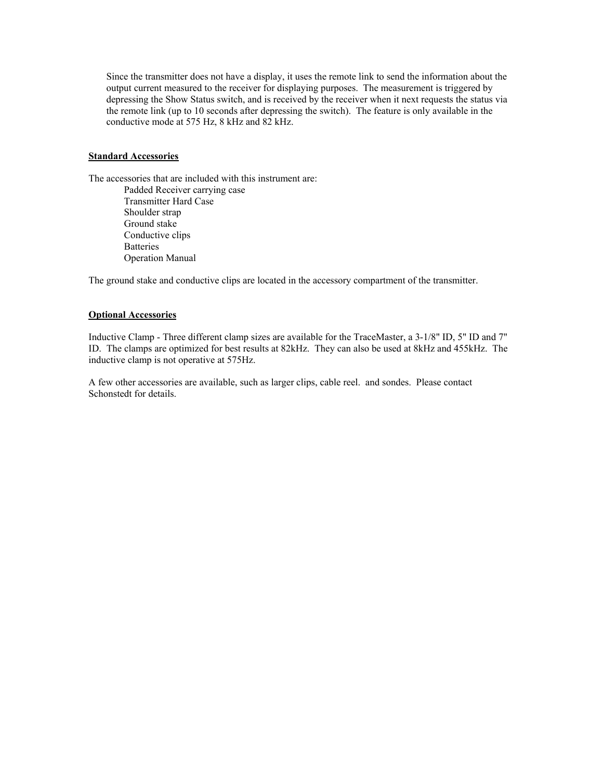Since the transmitter does not have a display, it uses the remote link to send the information about the output current measured to the receiver for displaying purposes. The measurement is triggered by depressing the Show Status switch, and is received by the receiver when it next requests the status via the remote link (up to 10 seconds after depressing the switch). The feature is only available in the conductive mode at 575 Hz, 8 kHz and 82 kHz.

# **Standard Accessories**

The accessories that are included with this instrument are:

Padded Receiver carrying case Transmitter Hard Case Shoulder strap Ground stake Conductive clips **Batteries** Operation Manual

The ground stake and conductive clips are located in the accessory compartment of the transmitter.

## **Optional Accessories**

Inductive Clamp - Three different clamp sizes are available for the TraceMaster, a 3-1/8" ID, 5" ID and 7" ID. The clamps are optimized for best results at 82kHz. They can also be used at 8kHz and 455kHz. The inductive clamp is not operative at 575Hz.

A few other accessories are available, such as larger clips, cable reel. and sondes. Please contact Schonstedt for details.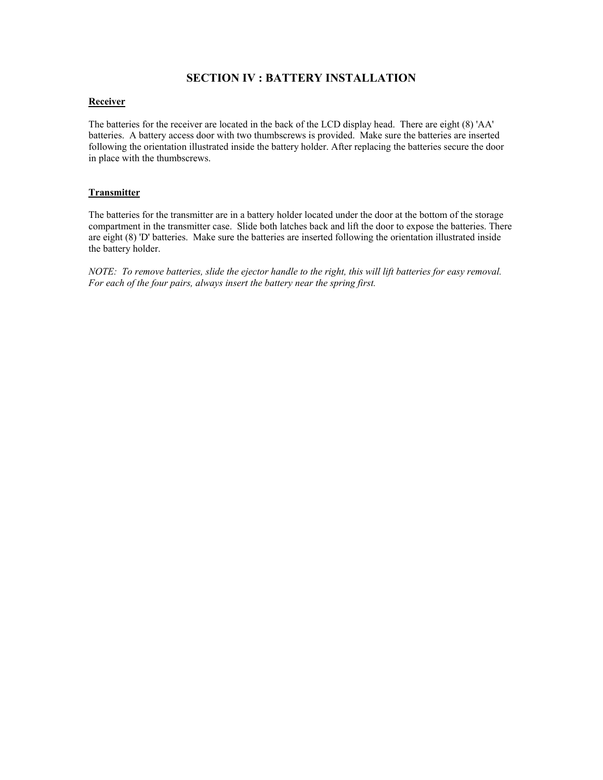# **SECTION IV : BATTERY INSTALLATION**

## **Receiver**

The batteries for the receiver are located in the back of the LCD display head. There are eight (8) 'AA' batteries. A battery access door with two thumbscrews is provided. Make sure the batteries are inserted following the orientation illustrated inside the battery holder. After replacing the batteries secure the door in place with the thumbscrews.

# **Transmitter**

The batteries for the transmitter are in a battery holder located under the door at the bottom of the storage compartment in the transmitter case. Slide both latches back and lift the door to expose the batteries. There are eight (8) 'D' batteries. Make sure the batteries are inserted following the orientation illustrated inside the battery holder.

*NOTE: To remove batteries, slide the ejector handle to the right, this will lift batteries for easy removal. For each of the four pairs, always insert the battery near the spring first.*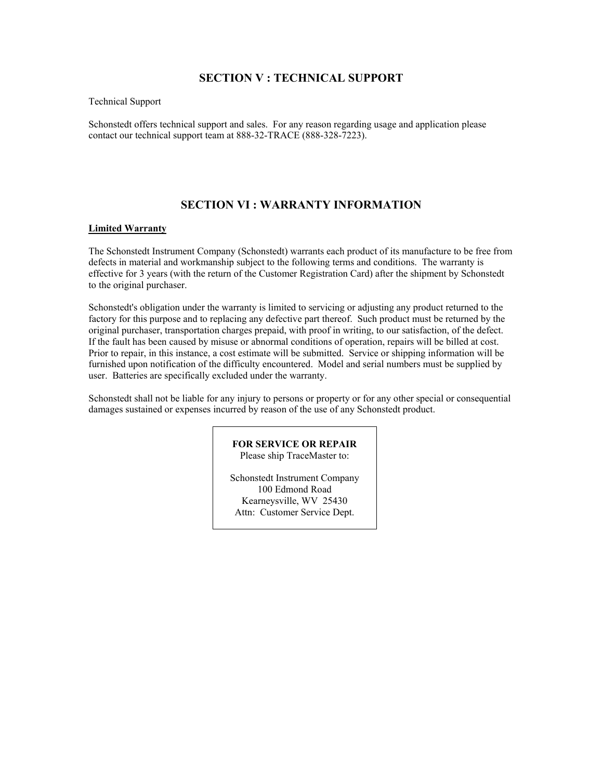# **SECTION V : TECHNICAL SUPPORT**

Technical Support

Schonstedt offers technical support and sales. For any reason regarding usage and application please contact our technical support team at 888-32-TRACE (888-328-7223).

# **SECTION VI : WARRANTY INFORMATION**

#### **Limited Warranty**

The Schonstedt Instrument Company (Schonstedt) warrants each product of its manufacture to be free from defects in material and workmanship subject to the following terms and conditions. The warranty is effective for 3 years (with the return of the Customer Registration Card) after the shipment by Schonstedt to the original purchaser.

Schonstedt's obligation under the warranty is limited to servicing or adjusting any product returned to the factory for this purpose and to replacing any defective part thereof. Such product must be returned by the original purchaser, transportation charges prepaid, with proof in writing, to our satisfaction, of the defect. If the fault has been caused by misuse or abnormal conditions of operation, repairs will be billed at cost. Prior to repair, in this instance, a cost estimate will be submitted. Service or shipping information will be furnished upon notification of the difficulty encountered. Model and serial numbers must be supplied by user. Batteries are specifically excluded under the warranty.

Schonstedt shall not be liable for any injury to persons or property or for any other special or consequential damages sustained or expenses incurred by reason of the use of any Schonstedt product.

> **FOR SERVICE OR REPAIR** Please ship TraceMaster to:

Schonstedt Instrument Company 100 Edmond Road Kearneysville, WV 25430 Attn: Customer Service Dept.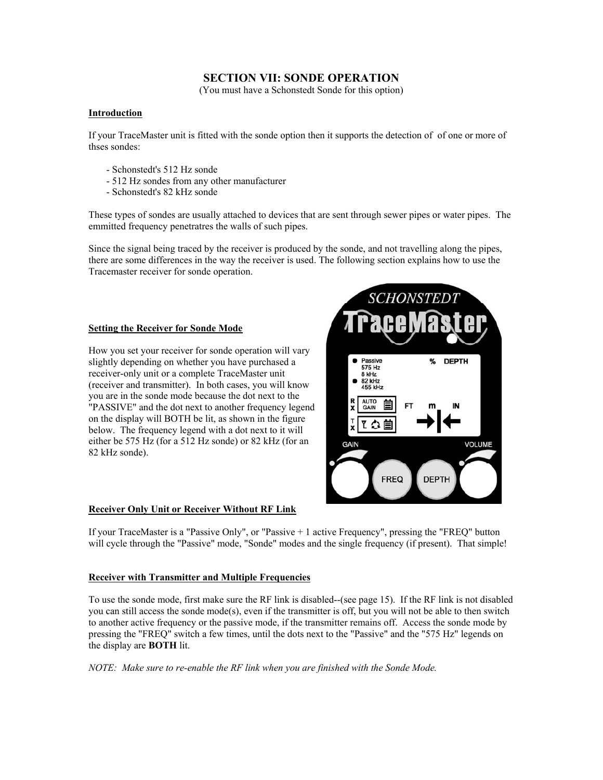# **SECTION VII: SONDE OPERATION**

(You must have a Schonstedt Sonde for this option)

# **Introduction**

If your TraceMaster unit is fitted with the sonde option then it supports the detection of of one or more of thses sondes:

- Schonstedt's 512 Hz sonde
- 512 Hz sondes from any other manufacturer
- Schonstedt's 82 kHz sonde

These types of sondes are usually attached to devices that are sent through sewer pipes or water pipes. The emmitted frequency penetratres the walls of such pipes.

Since the signal being traced by the receiver is produced by the sonde, and not travelling along the pipes, there are some differences in the way the receiver is used. The following section explains how to use the Tracemaster receiver for sonde operation.

## **Setting the Receiver for Sonde Mode**

How you set your receiver for sonde operation will vary slightly depending on whether you have purchased a receiver-only unit or a complete TraceMaster unit (receiver and transmitter). In both cases, you will know you are in the sonde mode because the dot next to the "PASSIVE" and the dot next to another frequency legend on the display will BOTH be lit, as shown in the figure below. The frequency legend with a dot next to it will either be 575 Hz (for a 512 Hz sonde) or 82 kHz (for an 82 kHz sonde).



# **Receiver Only Unit or Receiver Without RF Link**

If your TraceMaster is a "Passive Only", or "Passive + 1 active Frequency", pressing the "FREQ" button will cycle through the "Passive" mode, "Sonde" modes and the single frequency (if present). That simple!

#### **Receiver with Transmitter and Multiple Frequencies**

To use the sonde mode, first make sure the RF link is disabled--(see page 15). If the RF link is not disabled you can still access the sonde mode(s), even if the transmitter is off, but you will not be able to then switch to another active frequency or the passive mode, if the transmitter remains off. Access the sonde mode by pressing the "FREQ" switch a few times, until the dots next to the "Passive" and the "575 Hz" legends on the display are **BOTH** lit.

*NOTE: Make sure to re-enable the RF link when you are finished with the Sonde Mode.*